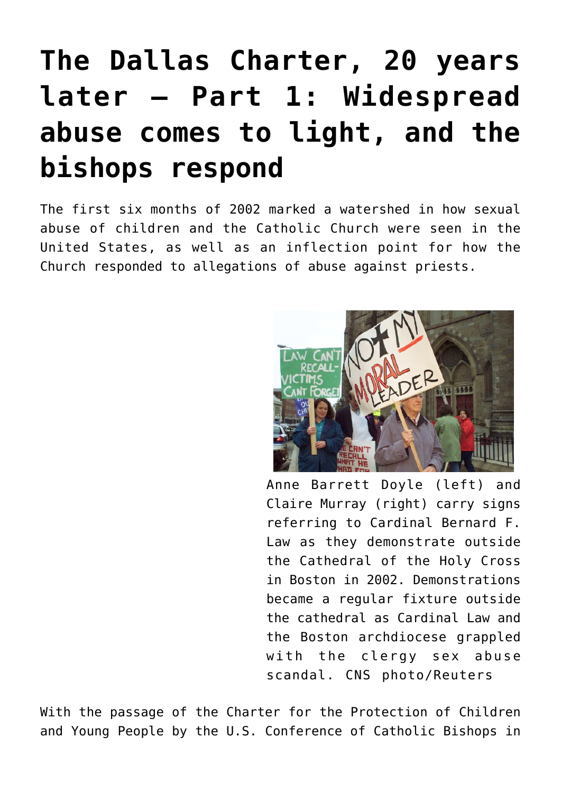# **[The Dallas Charter, 20 years](https://www.osvnews.com/2022/06/03/the-dallas-charter-20-years-later-part-1-widespread-abuse-comes-to-light-and-the-bishops-respond/) [later — Part 1: Widespread](https://www.osvnews.com/2022/06/03/the-dallas-charter-20-years-later-part-1-widespread-abuse-comes-to-light-and-the-bishops-respond/) [abuse comes to light, and the](https://www.osvnews.com/2022/06/03/the-dallas-charter-20-years-later-part-1-widespread-abuse-comes-to-light-and-the-bishops-respond/) [bishops respond](https://www.osvnews.com/2022/06/03/the-dallas-charter-20-years-later-part-1-widespread-abuse-comes-to-light-and-the-bishops-respond/)**

The first six months of 2002 marked a watershed in how sexual abuse of children and the Catholic Church were seen in the United States, as well as an inflection point for how the Church responded to allegations of abuse against priests.



Anne Barrett Doyle (left) and Claire Murray (right) carry signs referring to Cardinal Bernard F. Law as they demonstrate outside the Cathedral of the Holy Cross in Boston in 2002. Demonstrations became a regular fixture outside the cathedral as Cardinal Law and the Boston archdiocese grappled with the clergy sex abuse scandal. CNS photo/Reuters

With the passage of the Charter for the Protection of Children and Young People by the U.S. Conference of Catholic Bishops in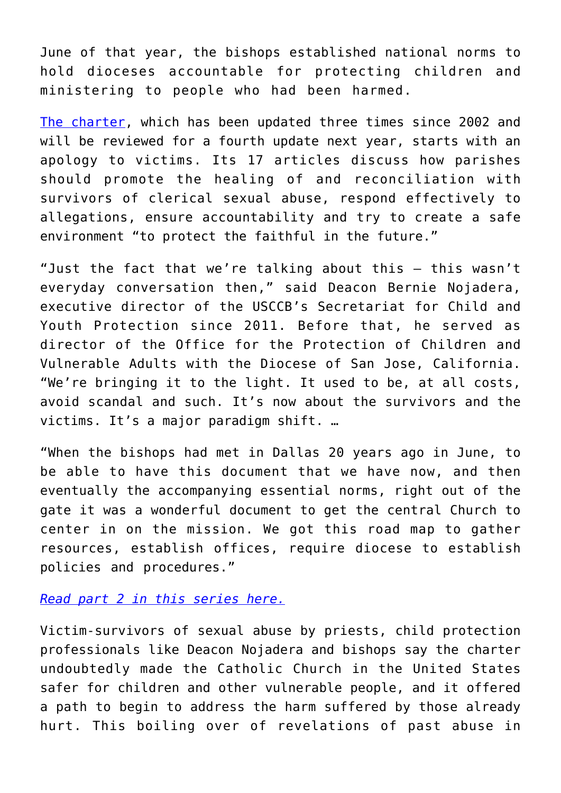June of that year, the bishops established national norms to hold dioceses accountable for protecting children and ministering to people who had been harmed.

[The charter,](https://www.osvnews.com/2022/05/24/editorial-the-dallas-charter-is-succeeding-but-there-is-more-work-to-be-done/) which has been updated three times since 2002 and will be reviewed for a fourth update next year, starts with an apology to victims. Its 17 articles discuss how parishes should promote the healing of and reconciliation with survivors of clerical sexual abuse, respond effectively to allegations, ensure accountability and try to create a safe environment "to protect the faithful in the future."

"Just the fact that we're talking about this — this wasn't everyday conversation then," said Deacon Bernie Nojadera, executive director of the USCCB's Secretariat for Child and Youth Protection since 2011. Before that, he served as director of the Office for the Protection of Children and Vulnerable Adults with the Diocese of San Jose, California. "We're bringing it to the light. It used to be, at all costs, avoid scandal and such. It's now about the survivors and the victims. It's a major paradigm shift. …

"When the bishops had met in Dallas 20 years ago in June, to be able to have this document that we have now, and then eventually the accompanying essential norms, right out of the gate it was a wonderful document to get the central Church to center in on the mission. We got this road map to gather resources, establish offices, require diocese to establish policies and procedures."

#### *[Read part 2 in this series here.](https://www.osvnews.com/2022/06/10/the-dallas-charter-20-years-later-part-2-procedures-have-been-implemented-but-the-church-is-not-finished/)*

Victim-survivors of sexual abuse by priests, child protection professionals like Deacon Nojadera and bishops say the charter undoubtedly made the Catholic Church in the United States safer for children and other vulnerable people, and it offered a path to begin to address the harm suffered by those already hurt. This boiling over of revelations of past abuse in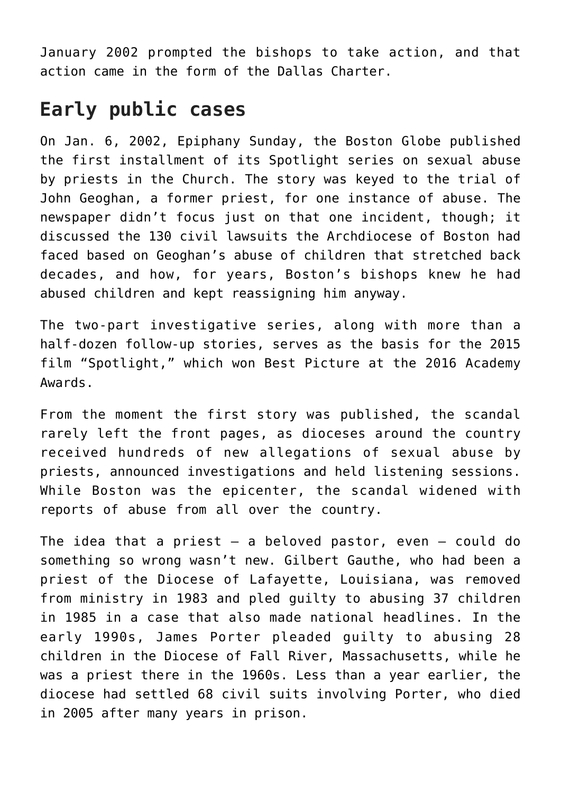January 2002 prompted the bishops to take action, and that action came in the form of the Dallas Charter.

### **Early public cases**

On Jan. 6, 2002, Epiphany Sunday, the Boston Globe published the first installment of its Spotlight series on sexual abuse by priests in the Church. The story was keyed to the trial of John Geoghan, a former priest, for one instance of abuse. The newspaper didn't focus just on that one incident, though; it discussed the 130 civil lawsuits the Archdiocese of Boston had faced based on Geoghan's abuse of children that stretched back decades, and how, for years, Boston's bishops knew he had abused children and kept reassigning him anyway.

The two-part investigative series, along with more than a half-dozen follow-up stories, serves as the basis for the 2015 film "Spotlight," which won Best Picture at the 2016 Academy Awards.

From the moment the first story was published, the scandal rarely left the front pages, as dioceses around the country received hundreds of new allegations of sexual abuse by priests, announced investigations and held listening sessions. While Boston was the epicenter, the scandal widened with reports of abuse from all over the country.

The idea that a priest  $-$  a beloved pastor, even  $-$  could do something so wrong wasn't new. Gilbert Gauthe, who had been a priest of the Diocese of Lafayette, Louisiana, was removed from ministry in 1983 and pled guilty to abusing 37 children in 1985 in a case that also made national headlines. In the early 1990s, James Porter pleaded guilty to abusing 28 children in the Diocese of Fall River, Massachusetts, while he was a priest there in the 1960s. Less than a year earlier, the diocese had settled 68 civil suits involving Porter, who died in 2005 after many years in prison.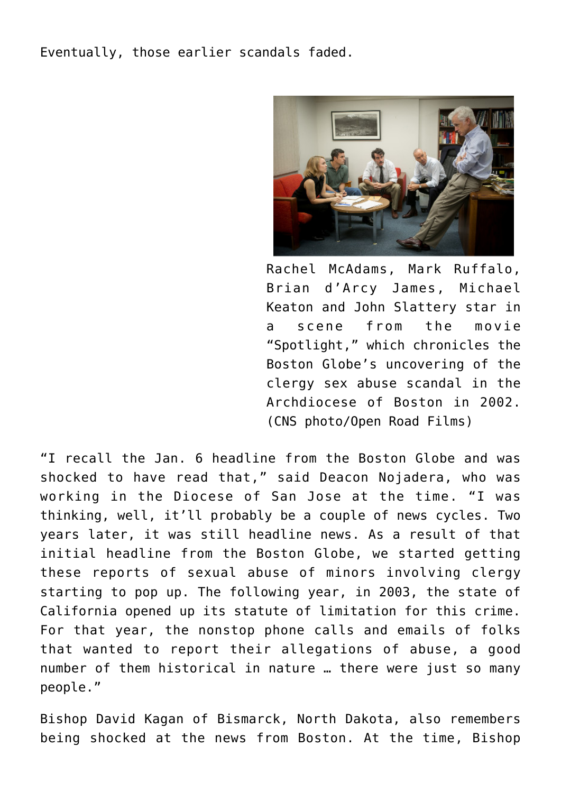Eventually, those earlier scandals faded.



Rachel McAdams, Mark Ruffalo, Brian d'Arcy James, Michael Keaton and John Slattery star in a scene from the movie "Spotlight," which chronicles the Boston Globe's uncovering of the clergy sex abuse scandal in the Archdiocese of Boston in 2002. (CNS photo/Open Road Films)

"I recall the Jan. 6 headline from the Boston Globe and was shocked to have read that," said Deacon Nojadera, who was working in the Diocese of San Jose at the time. "I was thinking, well, it'll probably be a couple of news cycles. Two years later, it was still headline news. As a result of that initial headline from the Boston Globe, we started getting these reports of sexual abuse of minors involving clergy starting to pop up. The following year, in 2003, the state of California opened up its statute of limitation for this crime. For that year, the nonstop phone calls and emails of folks that wanted to report their allegations of abuse, a good number of them historical in nature … there were just so many people."

Bishop David Kagan of Bismarck, North Dakota, also remembers being shocked at the news from Boston. At the time, Bishop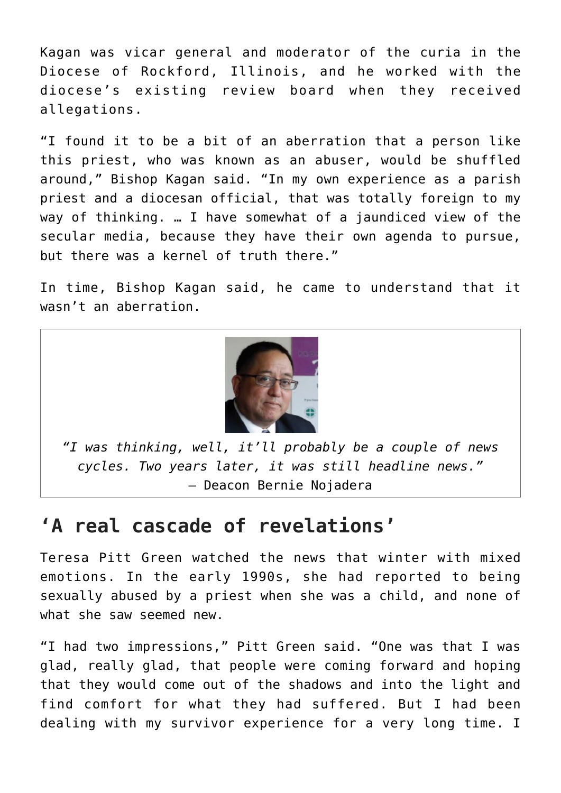Kagan was vicar general and moderator of the curia in the Diocese of Rockford, Illinois, and he worked with the diocese's existing review board when they received allegations.

"I found it to be a bit of an aberration that a person like this priest, who was known as an abuser, would be shuffled around," Bishop Kagan said. "In my own experience as a parish priest and a diocesan official, that was totally foreign to my way of thinking. … I have somewhat of a jaundiced view of the secular media, because they have their own agenda to pursue, but there was a kernel of truth there."

In time, Bishop Kagan said, he came to understand that it wasn't an aberration.



*"I was thinking, well, it'll probably be a couple of news cycles. Two years later, it was still headline news."* — Deacon Bernie Nojadera

## **'A real cascade of revelations'**

Teresa Pitt Green watched the news that winter with mixed emotions. In the early 1990s, she had reported to being sexually abused by a priest when she was a child, and none of what she saw seemed new.

"I had two impressions," Pitt Green said. "One was that I was glad, really glad, that people were coming forward and hoping that they would come out of the shadows and into the light and find comfort for what they had suffered. But I had been dealing with my survivor experience for a very long time. I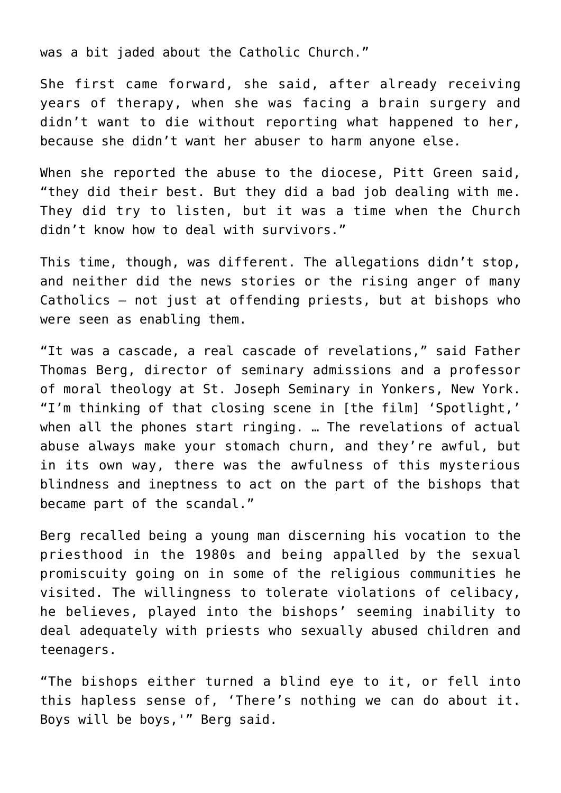was a bit jaded about the Catholic Church."

She first came forward, she said, after already receiving years of therapy, when she was facing a brain surgery and didn't want to die without reporting what happened to her, because she didn't want her abuser to harm anyone else.

When she reported the abuse to the diocese, Pitt Green said, "they did their best. But they did a bad job dealing with me. They did try to listen, but it was a time when the Church didn't know how to deal with survivors."

This time, though, was different. The allegations didn't stop, and neither did the news stories or the rising anger of many Catholics — not just at offending priests, but at bishops who were seen as enabling them.

"It was a cascade, a real cascade of revelations," said Father Thomas Berg, director of seminary admissions and a professor of moral theology at St. Joseph Seminary in Yonkers, New York. "I'm thinking of that closing scene in [the film] 'Spotlight,' when all the phones start ringing. … The revelations of actual abuse always make your stomach churn, and they're awful, but in its own way, there was the awfulness of this mysterious blindness and ineptness to act on the part of the bishops that became part of the scandal."

Berg recalled being a young man discerning his vocation to the priesthood in the 1980s and being appalled by the sexual promiscuity going on in some of the religious communities he visited. The willingness to tolerate violations of celibacy, he believes, played into the bishops' seeming inability to deal adequately with priests who sexually abused children and teenagers.

"The bishops either turned a blind eye to it, or fell into this hapless sense of, 'There's nothing we can do about it. Boys will be boys,'" Berg said.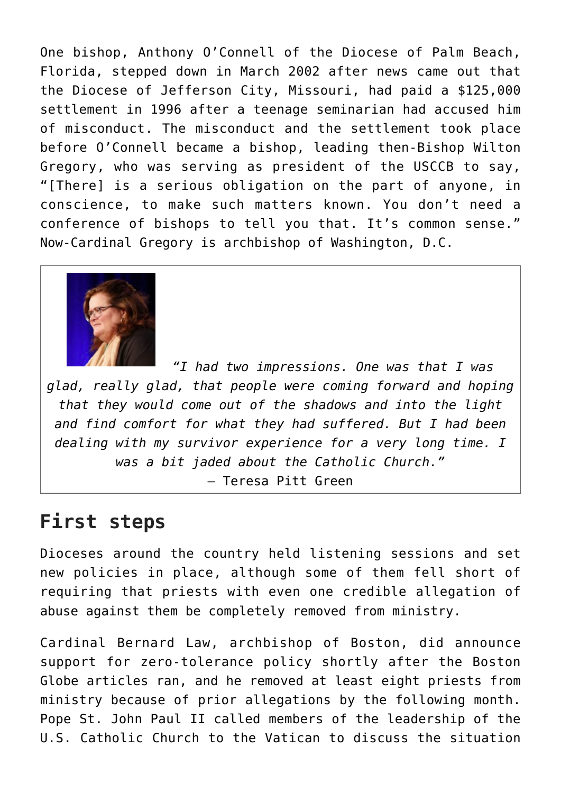One bishop, Anthony O'Connell of the Diocese of Palm Beach, Florida, stepped down in March 2002 after news came out that the Diocese of Jefferson City, Missouri, had paid a \$125,000 settlement in 1996 after a teenage seminarian had accused him of misconduct. The misconduct and the settlement took place before O'Connell became a bishop, leading then-Bishop Wilton Gregory, who was serving as president of the USCCB to say, "[There] is a serious obligation on the part of anyone, in conscience, to make such matters known. You don't need a conference of bishops to tell you that. It's common sense." Now-Cardinal Gregory is archbishop of Washington, D.C.



*"I had two impressions. One was that I was glad, really glad, that people were coming forward and hoping that they would come out of the shadows and into the light and find comfort for what they had suffered. But I had been dealing with my survivor experience for a very long time. I was a bit jaded about the Catholic Church."* — Teresa Pitt Green

### **First steps**

Dioceses around the country held listening sessions and set new policies in place, although some of them fell short of requiring that priests with even one credible allegation of abuse against them be completely removed from ministry.

Cardinal Bernard Law, archbishop of Boston, did announce support for zero-tolerance policy shortly after the Boston Globe articles ran, and he removed at least eight priests from ministry because of prior allegations by the following month. Pope St. John Paul II called members of the leadership of the U.S. Catholic Church to the Vatican to discuss the situation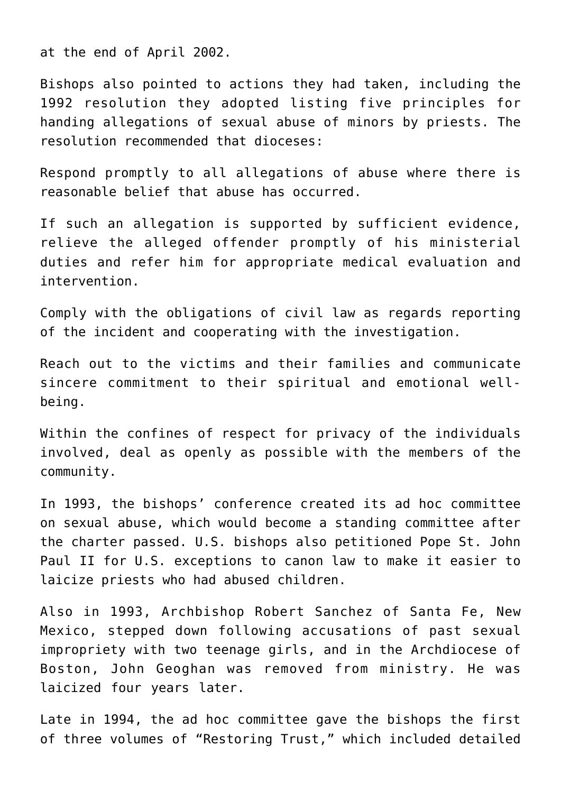at the end of April 2002.

Bishops also pointed to actions they had taken, including the 1992 resolution they adopted listing five principles for handing allegations of sexual abuse of minors by priests. The resolution recommended that dioceses:

Respond promptly to all allegations of abuse where there is reasonable belief that abuse has occurred.

If such an allegation is supported by sufficient evidence, relieve the alleged offender promptly of his ministerial duties and refer him for appropriate medical evaluation and intervention.

Comply with the obligations of civil law as regards reporting of the incident and cooperating with the investigation.

Reach out to the victims and their families and communicate sincere commitment to their spiritual and emotional wellbeing.

Within the confines of respect for privacy of the individuals involved, deal as openly as possible with the members of the community.

In 1993, the bishops' conference created its ad hoc committee on sexual abuse, which would become a standing committee after the charter passed. U.S. bishops also petitioned Pope St. John Paul II for U.S. exceptions to canon law to make it easier to laicize priests who had abused children.

Also in 1993, Archbishop Robert Sanchez of Santa Fe, New Mexico, stepped down following accusations of past sexual impropriety with two teenage girls, and in the Archdiocese of Boston, John Geoghan was removed from ministry. He was laicized four years later.

Late in 1994, the ad hoc committee gave the bishops the first of three volumes of "Restoring Trust," which included detailed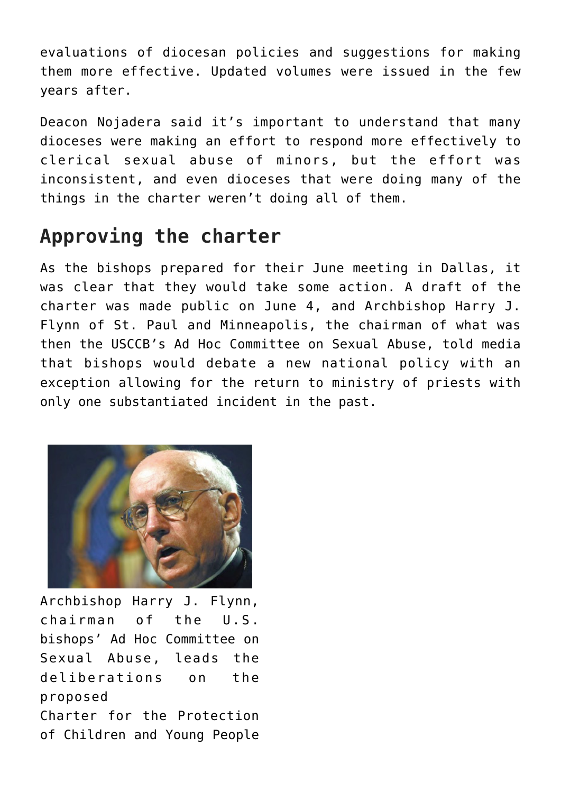evaluations of diocesan policies and suggestions for making them more effective. Updated volumes were issued in the few years after.

Deacon Nojadera said it's important to understand that many dioceses were making an effort to respond more effectively to clerical sexual abuse of minors, but the effort was inconsistent, and even dioceses that were doing many of the things in the charter weren't doing all of them.

## **Approving the charter**

As the bishops prepared for their June meeting in Dallas, it was clear that they would take some action. A draft of the charter was made public on June 4, and Archbishop Harry J. Flynn of St. Paul and Minneapolis, the chairman of what was then the USCCB's Ad Hoc Committee on Sexual Abuse, told media that bishops would debate a new national policy with an exception allowing for the return to ministry of priests with only one substantiated incident in the past.



Archbishop Harry J. Flynn, chairman of the U.S. bishops' Ad Hoc Committee on Sexual Abuse, leads the deliberations on the proposed Charter for the Protection of Children and Young People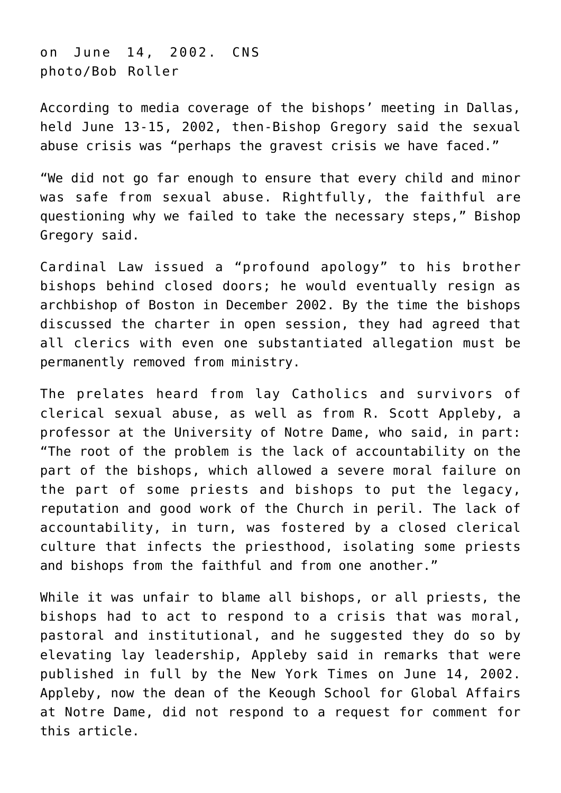on June 14, 2002. CNS photo/Bob Roller

According to media coverage of the bishops' meeting in Dallas, held June 13-15, 2002, then-Bishop Gregory said the sexual abuse crisis was "perhaps the gravest crisis we have faced."

"We did not go far enough to ensure that every child and minor was safe from sexual abuse. Rightfully, the faithful are questioning why we failed to take the necessary steps," Bishop Gregory said.

Cardinal Law issued a "profound apology" to his brother bishops behind closed doors; he would eventually resign as archbishop of Boston in December 2002. By the time the bishops discussed the charter in open session, they had agreed that all clerics with even one substantiated allegation must be permanently removed from ministry.

The prelates heard from lay Catholics and survivors of clerical sexual abuse, as well as from R. Scott Appleby, a professor at the University of Notre Dame, who said, in part: "The root of the problem is the lack of accountability on the part of the bishops, which allowed a severe moral failure on the part of some priests and bishops to put the legacy, reputation and good work of the Church in peril. The lack of accountability, in turn, was fostered by a closed clerical culture that infects the priesthood, isolating some priests and bishops from the faithful and from one another."

While it was unfair to blame all bishops, or all priests, the bishops had to act to respond to a crisis that was moral, pastoral and institutional, and he suggested they do so by elevating lay leadership, Appleby said in remarks that were published in full by the New York Times on June 14, 2002. Appleby, now the dean of the Keough School for Global Affairs at Notre Dame, did not respond to a request for comment for this article.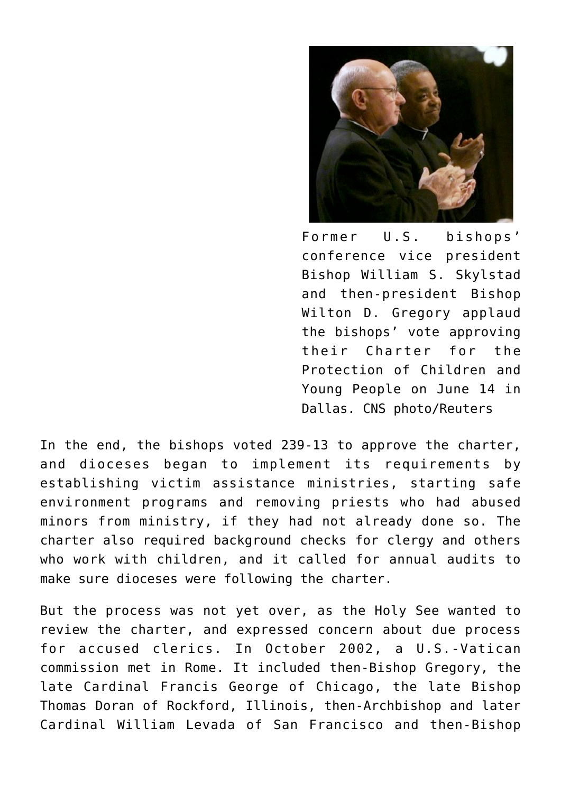

Former U.S. bishops' conference vice president Bishop William S. Skylstad and then-president Bishop Wilton D. Gregory applaud the bishops' vote approving their Charter for the Protection of Children and Young People on June 14 in Dallas. CNS photo/Reuters

In the end, the bishops voted 239-13 to approve the charter, and dioceses began to implement its requirements by establishing victim assistance ministries, starting safe environment programs and removing priests who had abused minors from ministry, if they had not already done so. The charter also required background checks for clergy and others who work with children, and it called for annual audits to make sure dioceses were following the charter.

But the process was not yet over, as the Holy See wanted to review the charter, and expressed concern about due process for accused clerics. In October 2002, a U.S.-Vatican commission met in Rome. It included then-Bishop Gregory, the late Cardinal Francis George of Chicago, the late Bishop Thomas Doran of Rockford, Illinois, then-Archbishop and later Cardinal William Levada of San Francisco and then-Bishop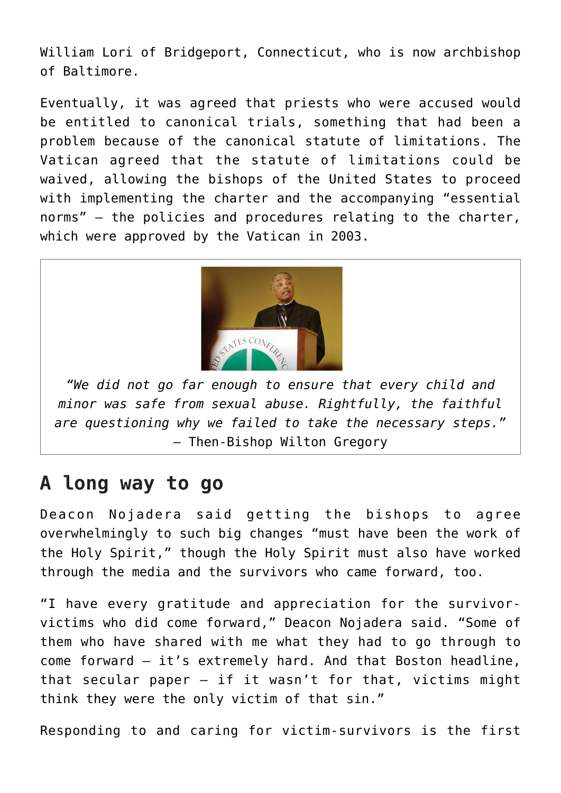William Lori of Bridgeport, Connecticut, who is now archbishop of Baltimore.

Eventually, it was agreed that priests who were accused would be entitled to canonical trials, something that had been a problem because of the canonical statute of limitations. The Vatican agreed that the statute of limitations could be waived, allowing the bishops of the United States to proceed with implementing the charter and the accompanying "essential norms" — the policies and procedures relating to the charter, which were approved by the Vatican in 2003.



*"We did not go far enough to ensure that every child and minor was safe from sexual abuse. Rightfully, the faithful are questioning why we failed to take the necessary steps."* — Then-Bishop Wilton Gregory

#### **A long way to go**

Deacon Nojadera said getting the bishops to agree overwhelmingly to such big changes "must have been the work of the Holy Spirit," though the Holy Spirit must also have worked through the media and the survivors who came forward, too.

"I have every gratitude and appreciation for the survivorvictims who did come forward," Deacon Nojadera said. "Some of them who have shared with me what they had to go through to come forward — it's extremely hard. And that Boston headline, that secular paper  $-$  if it wasn't for that, victims might think they were the only victim of that sin."

Responding to and caring for victim-survivors is the first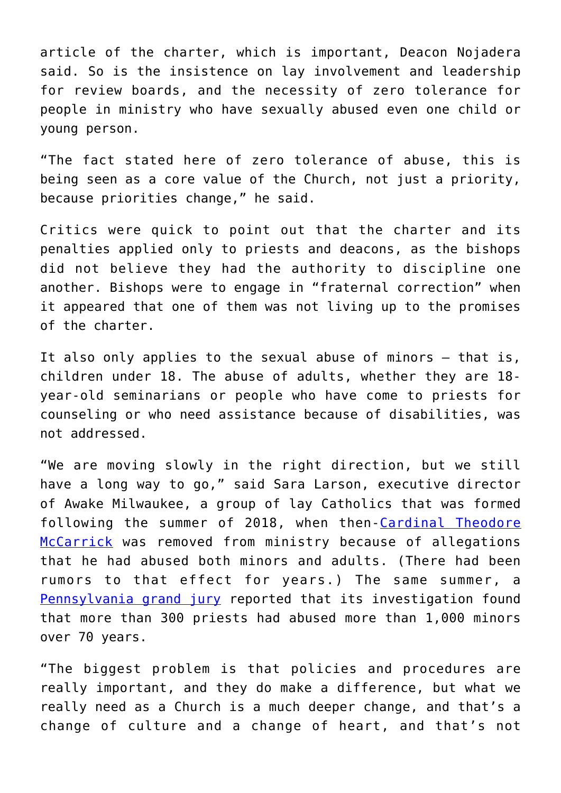article of the charter, which is important, Deacon Nojadera said. So is the insistence on lay involvement and leadership for review boards, and the necessity of zero tolerance for people in ministry who have sexually abused even one child or young person.

"The fact stated here of zero tolerance of abuse, this is being seen as a core value of the Church, not just a priority, because priorities change," he said.

Critics were quick to point out that the charter and its penalties applied only to priests and deacons, as the bishops did not believe they had the authority to discipline one another. Bishops were to engage in "fraternal correction" when it appeared that one of them was not living up to the promises of the charter.

It also only applies to the sexual abuse of minors — that is, children under 18. The abuse of adults, whether they are 18 year-old seminarians or people who have come to priests for counseling or who need assistance because of disabilities, was not addressed.

"We are moving slowly in the right direction, but we still have a long way to go," said Sara Larson, executive director of Awake Milwaukee, a group of lay Catholics that was formed following the summer of 2018, when then-[Cardinal Theodore](https://www.osvnews.com/2020/11/19/experts-abuse-survivors-share-reactions-to-mccarrick-report/) [McCarrick](https://www.osvnews.com/2020/11/19/experts-abuse-survivors-share-reactions-to-mccarrick-report/) was removed from ministry because of allegations that he had abused both minors and adults. (There had been rumors to that effect for years.) The same summer, a [Pennsylvania grand jury](https://www.osvnews.com/2018/08/15/pa-grand-jury-identifies-301-predator-priests/) reported that its investigation found that more than 300 priests had abused more than 1,000 minors over 70 years.

"The biggest problem is that policies and procedures are really important, and they do make a difference, but what we really need as a Church is a much deeper change, and that's a change of culture and a change of heart, and that's not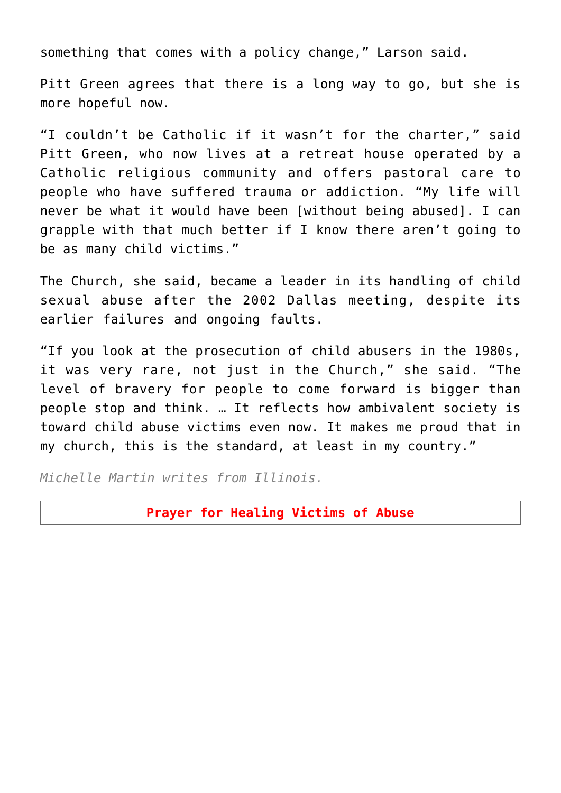something that comes with a policy change," Larson said.

Pitt Green agrees that there is a long way to go, but she is more hopeful now.

"I couldn't be Catholic if it wasn't for the charter," said Pitt Green, who now lives at a retreat house operated by a Catholic religious community and offers pastoral care to people who have suffered trauma or addiction. "My life will never be what it would have been [without being abused]. I can grapple with that much better if I know there aren't going to be as many child victims."

The Church, she said, became a leader in its handling of child sexual abuse after the 2002 Dallas meeting, despite its earlier failures and ongoing faults.

"If you look at the prosecution of child abusers in the 1980s, it was very rare, not just in the Church," she said. "The level of bravery for people to come forward is bigger than people stop and think. … It reflects how ambivalent society is toward child abuse victims even now. It makes me proud that in my church, this is the standard, at least in my country."

*Michelle Martin writes from Illinois.*

#### **Prayer for Healing Victims of Abuse**